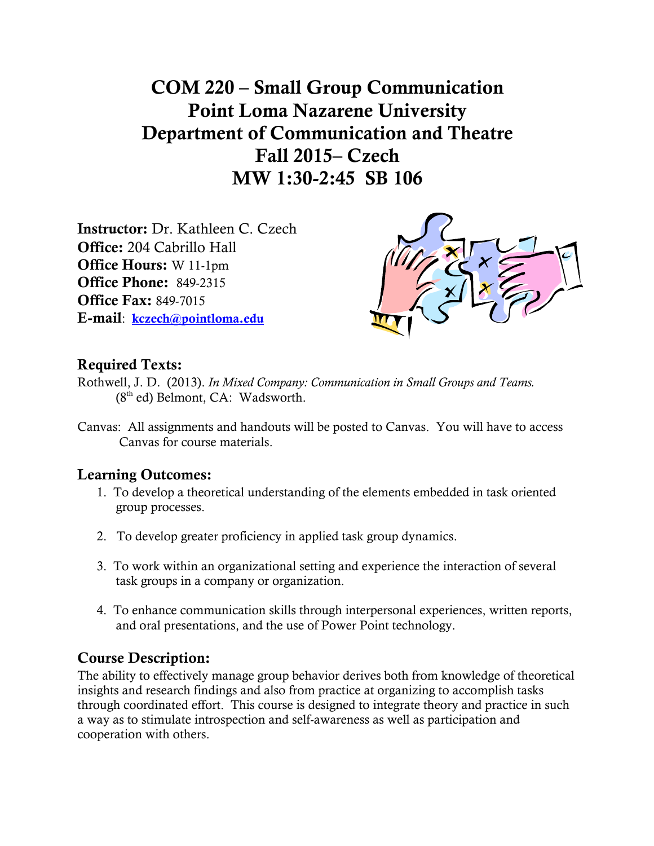COM 220 – Small Group Communication Point Loma Nazarene University Department of Communication and Theatre Fall 2015– Czech MW 1:30-2:45 SB 106

Instructor: Dr. Kathleen C. Czech Office: 204 Cabrillo Hall Office Hours: W 11-1pm Office Phone: 849-2315 Office Fax: 849-7015 E-mail: kczech@pointloma.edu



# Required Texts:

- Rothwell, J. D. (2013). *In Mixed Company: Communication in Small Groups and Teams.*   $(8<sup>th</sup>$  ed) Belmont, CA: Wadsworth.
- Canvas: All assignments and handouts will be posted to Canvas. You will have to access Canvas for course materials.

# Learning Outcomes:

- 1. To develop a theoretical understanding of the elements embedded in task oriented group processes.
- 2. To develop greater proficiency in applied task group dynamics.
- 3. To work within an organizational setting and experience the interaction of several task groups in a company or organization.
- 4. To enhance communication skills through interpersonal experiences, written reports, and oral presentations, and the use of Power Point technology.

# Course Description:

The ability to effectively manage group behavior derives both from knowledge of theoretical insights and research findings and also from practice at organizing to accomplish tasks through coordinated effort. This course is designed to integrate theory and practice in such a way as to stimulate introspection and self-awareness as well as participation and cooperation with others.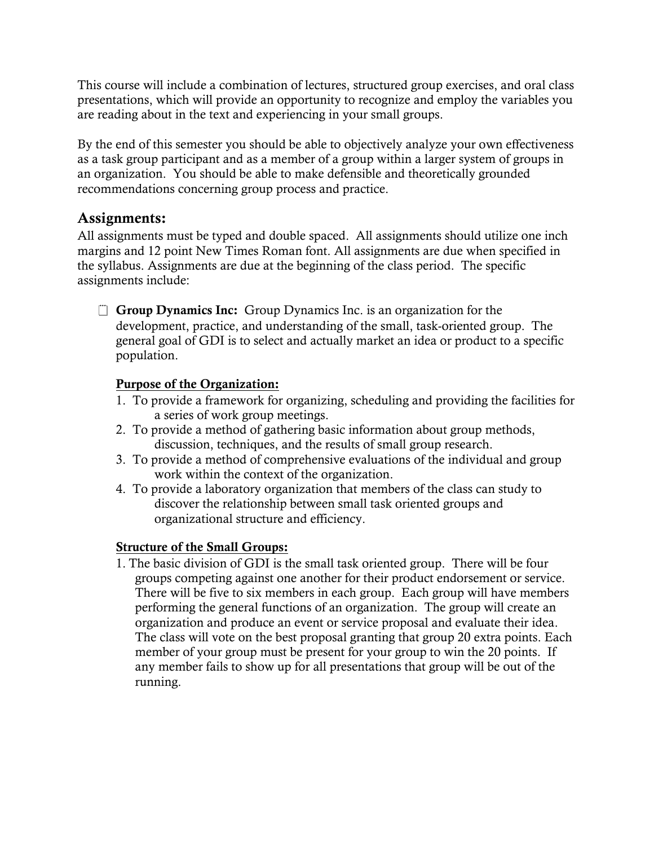This course will include a combination of lectures, structured group exercises, and oral class presentations, which will provide an opportunity to recognize and employ the variables you are reading about in the text and experiencing in your small groups.

By the end of this semester you should be able to objectively analyze your own effectiveness as a task group participant and as a member of a group within a larger system of groups in an organization. You should be able to make defensible and theoretically grounded recommendations concerning group process and practice.

# Assignments:

All assignments must be typed and double spaced. All assignments should utilize one inch margins and 12 point New Times Roman font. All assignments are due when specified in the syllabus. Assignments are due at the beginning of the class period. The specific assignments include:

 $\Box$  Group Dynamics Inc: Group Dynamics Inc. is an organization for the development, practice, and understanding of the small, task-oriented group. The general goal of GDI is to select and actually market an idea or product to a specific population.

# Purpose of the Organization:

- 1. To provide a framework for organizing, scheduling and providing the facilities for a series of work group meetings.
- 2. To provide a method of gathering basic information about group methods, discussion, techniques, and the results of small group research.
- 3. To provide a method of comprehensive evaluations of the individual and group work within the context of the organization.
- 4. To provide a laboratory organization that members of the class can study to discover the relationship between small task oriented groups and organizational structure and efficiency.

# Structure of the Small Groups:

1. The basic division of GDI is the small task oriented group. There will be four groups competing against one another for their product endorsement or service. There will be five to six members in each group. Each group will have members performing the general functions of an organization. The group will create an organization and produce an event or service proposal and evaluate their idea. The class will vote on the best proposal granting that group 20 extra points. Each member of your group must be present for your group to win the 20 points. If any member fails to show up for all presentations that group will be out of the running.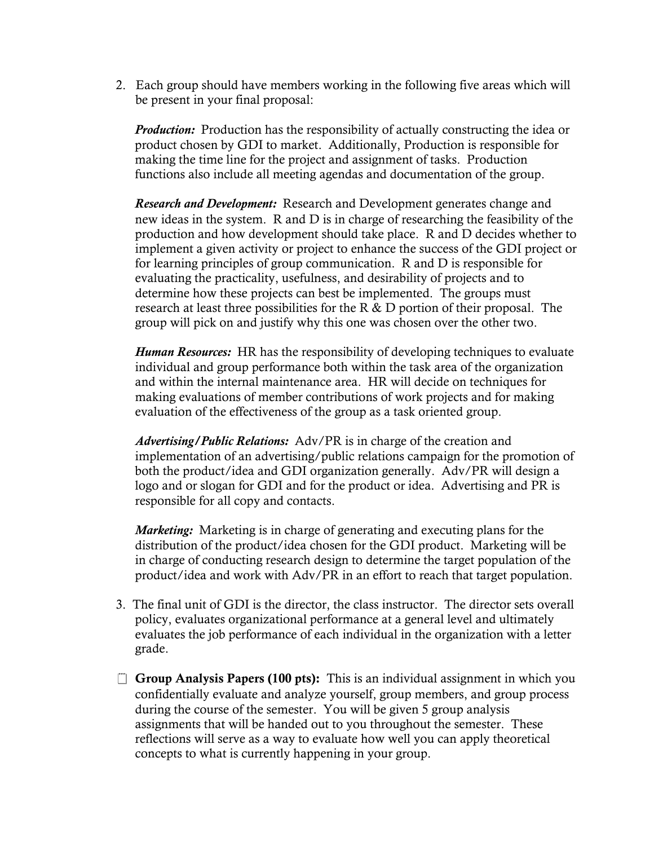2. Each group should have members working in the following five areas which will be present in your final proposal:

*Production:* Production has the responsibility of actually constructing the idea or product chosen by GDI to market. Additionally, Production is responsible for making the time line for the project and assignment of tasks. Production functions also include all meeting agendas and documentation of the group.

*Research and Development:* Research and Development generates change and new ideas in the system. R and D is in charge of researching the feasibility of the production and how development should take place. R and D decides whether to implement a given activity or project to enhance the success of the GDI project or for learning principles of group communication. R and D is responsible for evaluating the practicality, usefulness, and desirability of projects and to determine how these projects can best be implemented. The groups must research at least three possibilities for the R  $\&$  D portion of their proposal. The group will pick on and justify why this one was chosen over the other two.

*Human Resources:* HR has the responsibility of developing techniques to evaluate individual and group performance both within the task area of the organization and within the internal maintenance area. HR will decide on techniques for making evaluations of member contributions of work projects and for making evaluation of the effectiveness of the group as a task oriented group.

*Advertising/Public Relations:* Adv/PR is in charge of the creation and implementation of an advertising/public relations campaign for the promotion of both the product/idea and GDI organization generally. Adv/PR will design a logo and or slogan for GDI and for the product or idea. Advertising and PR is responsible for all copy and contacts.

*Marketing:* Marketing is in charge of generating and executing plans for the distribution of the product/idea chosen for the GDI product. Marketing will be in charge of conducting research design to determine the target population of the product/idea and work with Adv/PR in an effort to reach that target population.

- 3. The final unit of GDI is the director, the class instructor. The director sets overall policy, evaluates organizational performance at a general level and ultimately evaluates the job performance of each individual in the organization with a letter grade.
- $\Box$  Group Analysis Papers (100 pts): This is an individual assignment in which you confidentially evaluate and analyze yourself, group members, and group process during the course of the semester. You will be given 5 group analysis assignments that will be handed out to you throughout the semester. These reflections will serve as a way to evaluate how well you can apply theoretical concepts to what is currently happening in your group.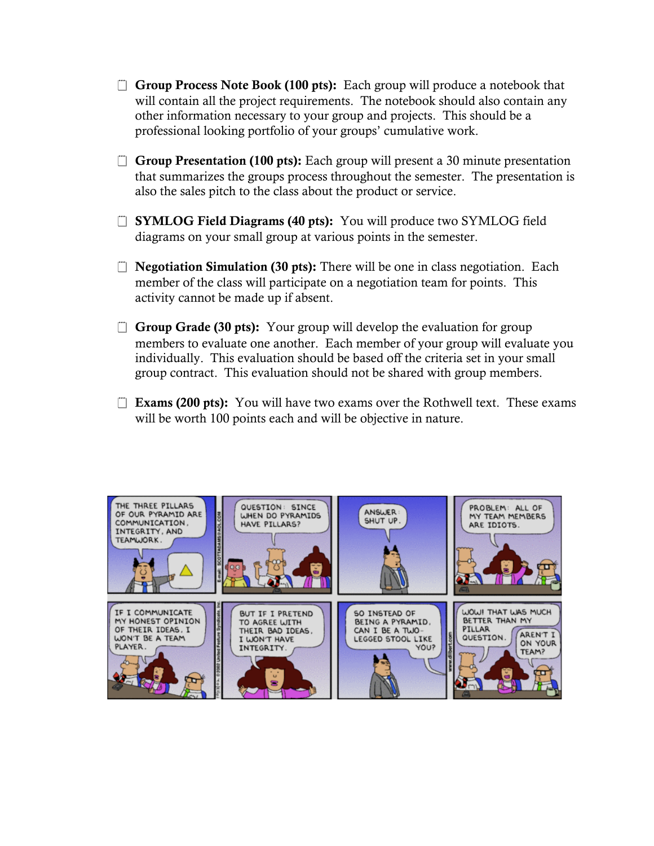- $\Box$  Group Process Note Book (100 pts): Each group will produce a notebook that will contain all the project requirements. The notebook should also contain any other information necessary to your group and projects. This should be a professional looking portfolio of your groups' cumulative work.
- $\Box$  Group Presentation (100 pts): Each group will present a 30 minute presentation that summarizes the groups process throughout the semester. The presentation is also the sales pitch to the class about the product or service.
- **The SYMLOG Field Diagrams (40 pts):** You will produce two SYMLOG field diagrams on your small group at various points in the semester.
- $\Box$  **Negotiation Simulation (30 pts):** There will be one in class negotiation. Each member of the class will participate on a negotiation team for points. This activity cannot be made up if absent.
- $\Box$  Group Grade (30 pts): Your group will develop the evaluation for group members to evaluate one another. Each member of your group will evaluate you individually. This evaluation should be based off the criteria set in your small group contract. This evaluation should not be shared with group members.
- $\Box$  Exams (200 pts): You will have two exams over the Rothwell text. These exams will be worth 100 points each and will be objective in nature.

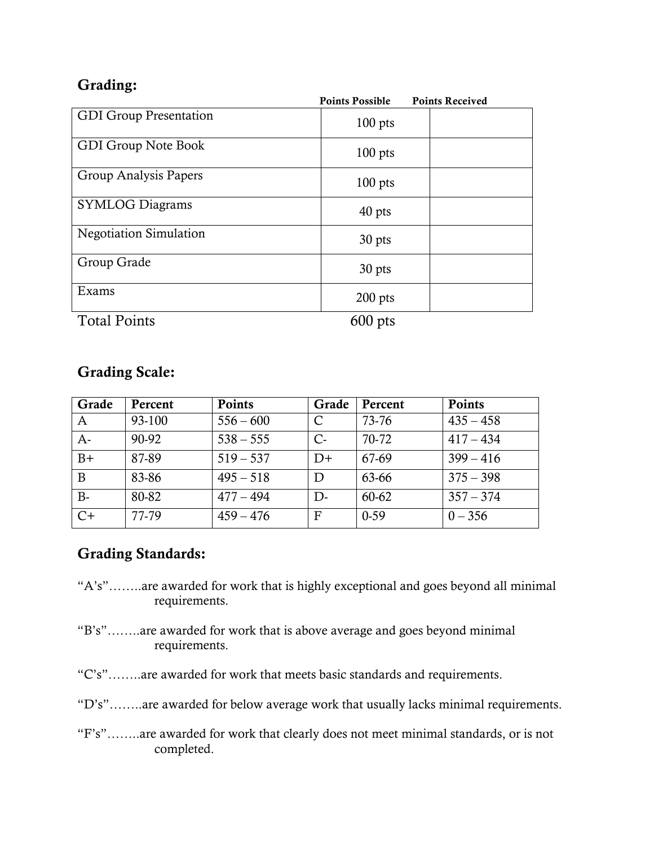|           | <b>Points Received</b> |
|-----------|------------------------|
| $100$ pts |                        |
| $100$ pts |                        |
| $100$ pts |                        |
| 40 pts    |                        |
| 30 pts    |                        |
| 30 pts    |                        |
| $200$ pts |                        |
|           | <b>Points Possible</b> |

Total Points 600 pts

| <b>Grading Scale:</b> |  |
|-----------------------|--|
|-----------------------|--|

| Grade | Percent | <b>Points</b> | Grade | Percent | <b>Points</b> |
|-------|---------|---------------|-------|---------|---------------|
| A     | 93-100  | $556 - 600$   | C     | 73-76   | $435 - 458$   |
| $A-$  | 90-92   | $538 - 555$   | $C-$  | 70-72   | $417 - 434$   |
| $B+$  | 87-89   | $519 - 537$   | $D+$  | 67-69   | $399 - 416$   |
| B     | 83-86   | $495 - 518$   | D     | 63-66   | $375 - 398$   |
| $B -$ | 80-82   | $477 - 494$   | D-    | 60-62   | $357 - 374$   |
| $C+$  | 77-79   | $459 - 476$   | F     | $0-59$  | $0 - 356$     |

# Grading Standards:

- "A's"……..are awarded for work that is highly exceptional and goes beyond all minimal requirements.
- "B's"……..are awarded for work that is above average and goes beyond minimal requirements.
- "C's"……..are awarded for work that meets basic standards and requirements.
- "D's"……..are awarded for below average work that usually lacks minimal requirements.
- "F's"……..are awarded for work that clearly does not meet minimal standards, or is not completed.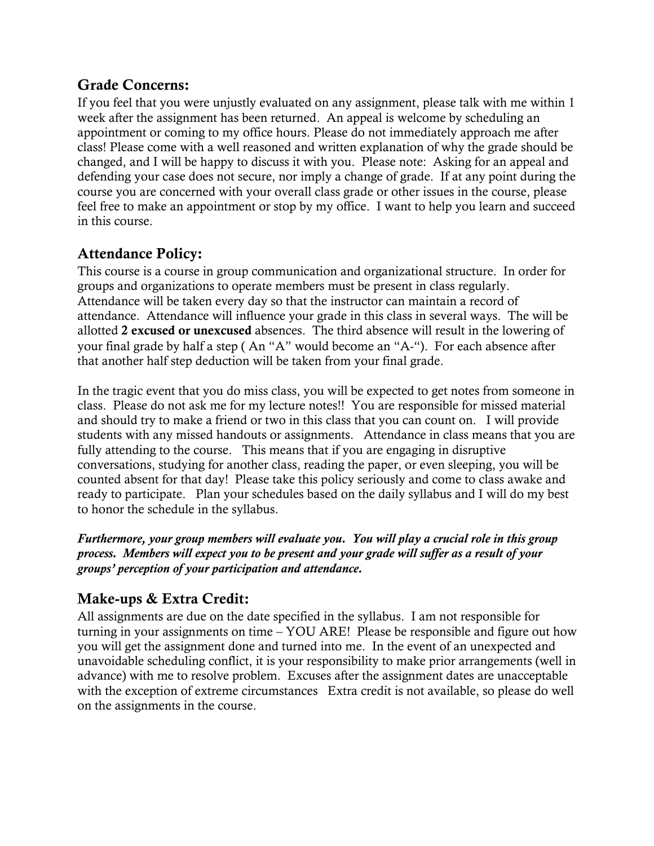# Grade Concerns:

If you feel that you were unjustly evaluated on any assignment, please talk with me within 1 week after the assignment has been returned. An appeal is welcome by scheduling an appointment or coming to my office hours. Please do not immediately approach me after class! Please come with a well reasoned and written explanation of why the grade should be changed, and I will be happy to discuss it with you. Please note: Asking for an appeal and defending your case does not secure, nor imply a change of grade. If at any point during the course you are concerned with your overall class grade or other issues in the course, please feel free to make an appointment or stop by my office. I want to help you learn and succeed in this course.

# Attendance Policy:

This course is a course in group communication and organizational structure. In order for groups and organizations to operate members must be present in class regularly. Attendance will be taken every day so that the instructor can maintain a record of attendance. Attendance will influence your grade in this class in several ways. The will be allotted 2 excused or unexcused absences. The third absence will result in the lowering of your final grade by half a step ( An "A" would become an "A-"). For each absence after that another half step deduction will be taken from your final grade.

In the tragic event that you do miss class, you will be expected to get notes from someone in class. Please do not ask me for my lecture notes!! You are responsible for missed material and should try to make a friend or two in this class that you can count on. I will provide students with any missed handouts or assignments. Attendance in class means that you are fully attending to the course. This means that if you are engaging in disruptive conversations, studying for another class, reading the paper, or even sleeping, you will be counted absent for that day! Please take this policy seriously and come to class awake and ready to participate. Plan your schedules based on the daily syllabus and I will do my best to honor the schedule in the syllabus.

*Furthermore, your group members will evaluate you. You will play a crucial role in this group process. Members will expect you to be present and your grade will suffer as a result of your groups' perception of your participation and attendance.* 

# Make-ups & Extra Credit:

All assignments are due on the date specified in the syllabus. I am not responsible for turning in your assignments on time – YOU ARE! Please be responsible and figure out how you will get the assignment done and turned into me. In the event of an unexpected and unavoidable scheduling conflict, it is your responsibility to make prior arrangements (well in advance) with me to resolve problem. Excuses after the assignment dates are unacceptable with the exception of extreme circumstances Extra credit is not available, so please do well on the assignments in the course.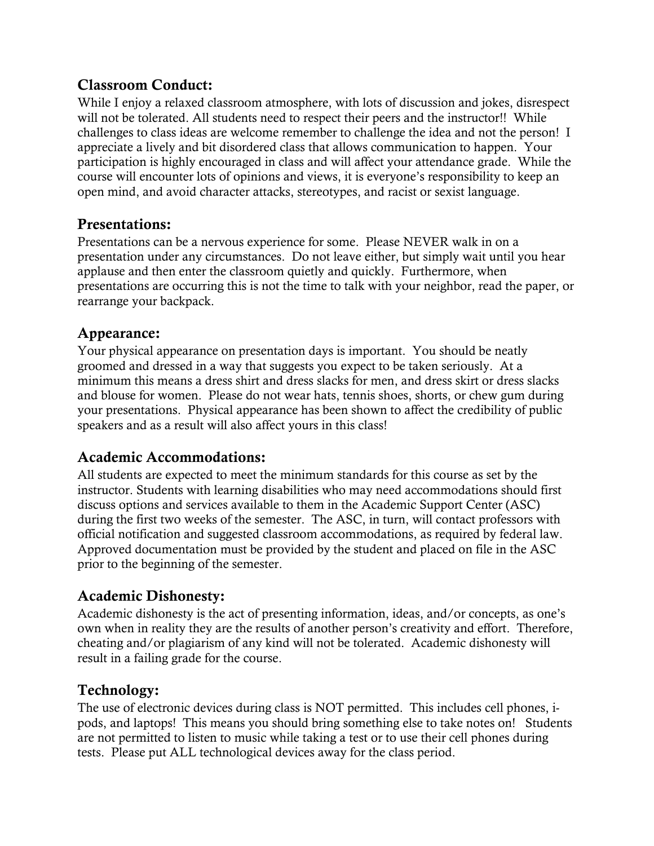# Classroom Conduct:

While I enjoy a relaxed classroom atmosphere, with lots of discussion and jokes, disrespect will not be tolerated. All students need to respect their peers and the instructor!! While challenges to class ideas are welcome remember to challenge the idea and not the person! I appreciate a lively and bit disordered class that allows communication to happen. Your participation is highly encouraged in class and will affect your attendance grade. While the course will encounter lots of opinions and views, it is everyone's responsibility to keep an open mind, and avoid character attacks, stereotypes, and racist or sexist language.

# Presentations:

Presentations can be a nervous experience for some. Please NEVER walk in on a presentation under any circumstances. Do not leave either, but simply wait until you hear applause and then enter the classroom quietly and quickly. Furthermore, when presentations are occurring this is not the time to talk with your neighbor, read the paper, or rearrange your backpack.

# Appearance:

Your physical appearance on presentation days is important. You should be neatly groomed and dressed in a way that suggests you expect to be taken seriously. At a minimum this means a dress shirt and dress slacks for men, and dress skirt or dress slacks and blouse for women. Please do not wear hats, tennis shoes, shorts, or chew gum during your presentations. Physical appearance has been shown to affect the credibility of public speakers and as a result will also affect yours in this class!

# Academic Accommodations:

All students are expected to meet the minimum standards for this course as set by the instructor. Students with learning disabilities who may need accommodations should first discuss options and services available to them in the Academic Support Center (ASC) during the first two weeks of the semester. The ASC, in turn, will contact professors with official notification and suggested classroom accommodations, as required by federal law. Approved documentation must be provided by the student and placed on file in the ASC prior to the beginning of the semester.

# Academic Dishonesty:

Academic dishonesty is the act of presenting information, ideas, and/or concepts, as one's own when in reality they are the results of another person's creativity and effort. Therefore, cheating and/or plagiarism of any kind will not be tolerated. Academic dishonesty will result in a failing grade for the course.

# Technology:

The use of electronic devices during class is NOT permitted. This includes cell phones, ipods, and laptops! This means you should bring something else to take notes on! Students are not permitted to listen to music while taking a test or to use their cell phones during tests. Please put ALL technological devices away for the class period.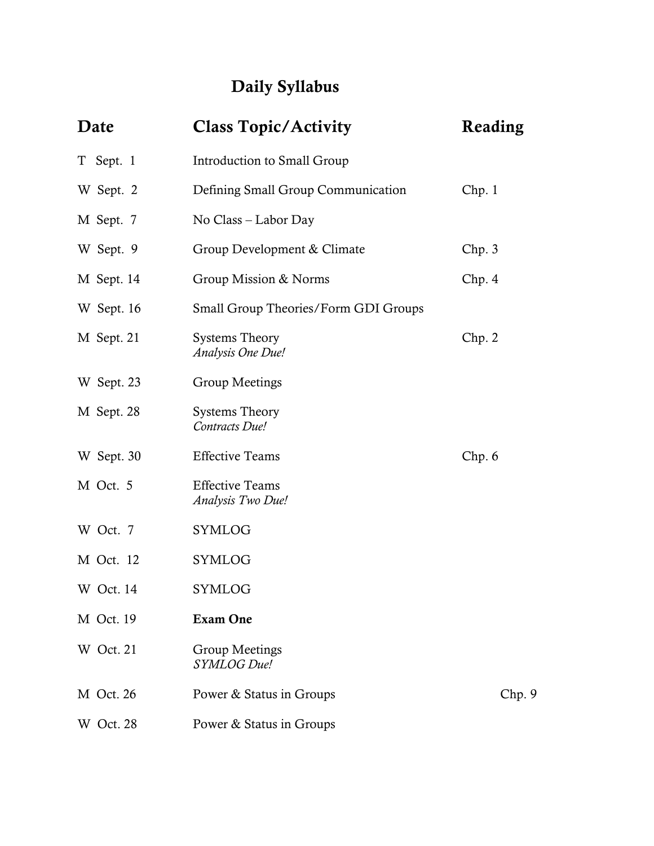# Daily Syllabus

| Date             | <b>Class Topic/Activity</b>                 | Reading |
|------------------|---------------------------------------------|---------|
| T Sept. 1        | Introduction to Small Group                 |         |
| W Sept. 2        | Defining Small Group Communication          | Chp.1   |
| M Sept. 7        | No Class – Labor Day                        |         |
| W Sept. 9        | Group Development & Climate                 | Chp.3   |
| M Sept. 14       | Group Mission & Norms                       | Chp.4   |
| W Sept. 16       | Small Group Theories/Form GDI Groups        |         |
| M Sept. 21       | <b>Systems Theory</b><br>Analysis One Due!  | Chp. 2  |
| W Sept. 23       | Group Meetings                              |         |
| M Sept. 28       | <b>Systems Theory</b><br>Contracts Due!     |         |
| W Sept. 30       | <b>Effective Teams</b>                      | Chp. 6  |
| M Oct. 5         | <b>Effective Teams</b><br>Analysis Two Due! |         |
| W Oct. 7         | SYMLOG                                      |         |
| M Oct. 12        | <b>SYMLOG</b>                               |         |
| W Oct. 14        | SYMLOG                                      |         |
| M Oct. 19        | <b>Exam One</b>                             |         |
| W Oct. 21        | <b>Group Meetings</b><br>SYMLOG Due!        |         |
| <b>M</b> Oct. 26 | Power & Status in Groups                    | Chp.9   |
| W Oct. 28        | Power & Status in Groups                    |         |